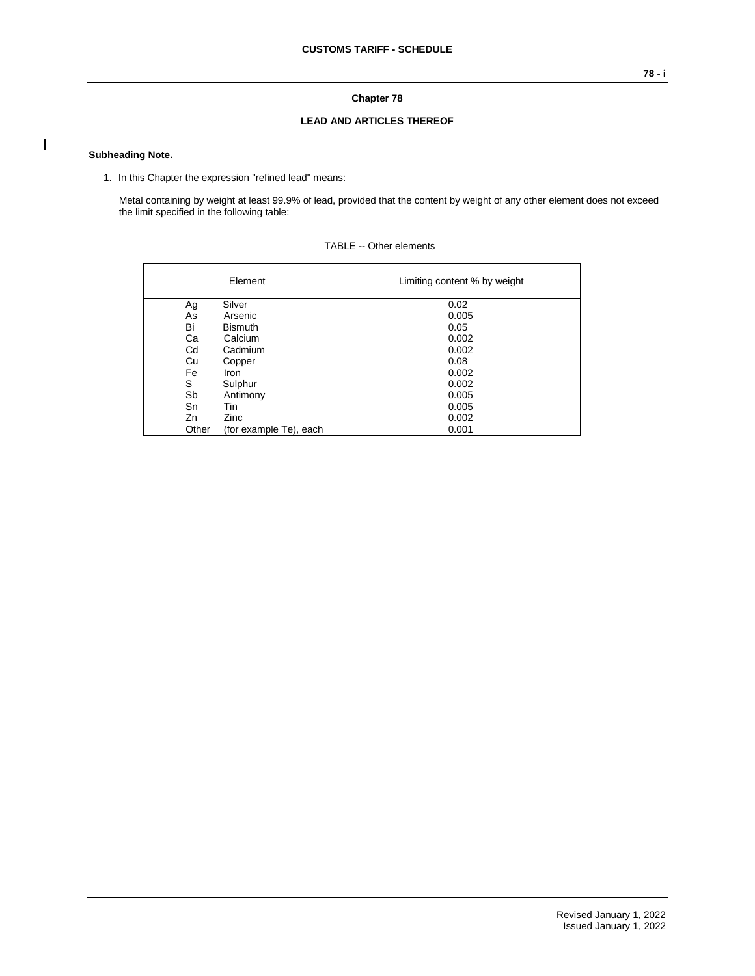## **Chapter 78**

## **LEAD AND ARTICLES THEREOF**

## **Subheading Note.**

 $\overline{\phantom{a}}$ 

1. In this Chapter the expression "refined lead" means:

Metal containing by weight at least 99.9% of lead, provided that the content by weight of any other element does not exceed the limit specified in the following table:

|       | Element                | Limiting content % by weight |
|-------|------------------------|------------------------------|
| Ag    | Silver                 | 0.02                         |
| As    | Arsenic                | 0.005                        |
| Bi    | <b>Bismuth</b>         | 0.05                         |
| Ca    | Calcium                | 0.002                        |
| Cd    | Cadmium                | 0.002                        |
| Cu    | Copper                 | 0.08                         |
| Fe    | Iron                   | 0.002                        |
| S     | Sulphur                | 0.002                        |
| Sb    | Antimony               | 0.005                        |
| Sn    | Tin                    | 0.005                        |
| Zn    | Zinc                   | 0.002                        |
| Other | (for example Te), each | 0.001                        |

| TABLE -- Other elements |
|-------------------------|
|                         |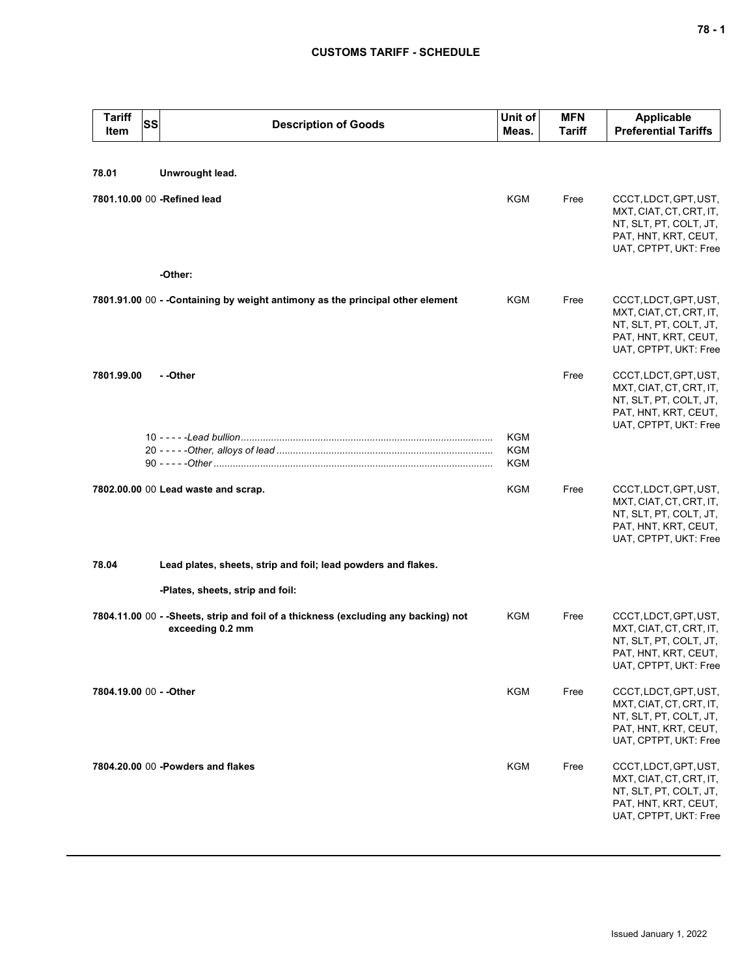## **CUSTOMS TARIFF - SCHEDULE**

| <b>Tariff</b><br><b>SS</b><br>Item | <b>Description of Goods</b>                                                                             | Unit of<br>Meas.  | <b>MFN</b><br>Tariff | <b>Applicable</b><br><b>Preferential Tariffs</b>                                                                            |
|------------------------------------|---------------------------------------------------------------------------------------------------------|-------------------|----------------------|-----------------------------------------------------------------------------------------------------------------------------|
| 78.01                              | Unwrought lead.                                                                                         |                   |                      |                                                                                                                             |
| 7801.10.00 00 -Refined lead        |                                                                                                         | KGM               | Free                 | CCCT, LDCT, GPT, UST,<br>MXT, CIAT, CT, CRT, IT,<br>NT, SLT, PT, COLT, JT,<br>PAT, HNT, KRT, CEUT,<br>UAT, CPTPT, UKT: Free |
|                                    | -Other:                                                                                                 |                   |                      |                                                                                                                             |
|                                    | 7801.91.00 00 - - Containing by weight antimony as the principal other element                          | KGM               | Free                 | CCCT, LDCT, GPT, UST,<br>MXT, CIAT, CT, CRT, IT,<br>NT, SLT, PT, COLT, JT,<br>PAT, HNT, KRT, CEUT,<br>UAT, CPTPT, UKT: Free |
| 7801.99.00                         | - -Other                                                                                                |                   | Free                 | CCCT, LDCT, GPT, UST,<br>MXT, CIAT, CT, CRT, IT,<br>NT, SLT, PT, COLT, JT,<br>PAT, HNT, KRT, CEUT,<br>UAT, CPTPT, UKT: Free |
|                                    |                                                                                                         | KGM<br>KGM<br>KGM |                      |                                                                                                                             |
|                                    | 7802.00.00 00 Lead waste and scrap.                                                                     | KGM               | Free                 | CCCT, LDCT, GPT, UST,<br>MXT, CIAT, CT, CRT, IT,<br>NT, SLT, PT, COLT, JT,<br>PAT, HNT, KRT, CEUT,<br>UAT, CPTPT, UKT: Free |
| 78.04                              | Lead plates, sheets, strip and foil; lead powders and flakes.                                           |                   |                      |                                                                                                                             |
|                                    | -Plates, sheets, strip and foil:                                                                        |                   |                      |                                                                                                                             |
|                                    | 7804.11.00 00 - - Sheets, strip and foil of a thickness (excluding any backing) not<br>exceeding 0.2 mm | KGM               | Free                 | CCCT, LDCT, GPT, UST,<br>MXT, CIAT, CT, CRT, IT,<br>NT, SLT, PT, COLT, JT,<br>PAT, HNT, KRT, CEUT,<br>UAT, CPTPT, UKT: Free |
| 7804.19.00 00 - - Other            |                                                                                                         | KGM               | Free                 | CCCT, LDCT, GPT, UST,<br>MXT, CIAT, CT, CRT, IT,<br>NT, SLT, PT, COLT, JT,<br>PAT, HNT, KRT, CEUT,<br>UAT, CPTPT, UKT: Free |
|                                    | 7804.20.00 00 - Powders and flakes                                                                      | KGM               | Free                 | CCCT, LDCT, GPT, UST,<br>MXT, CIAT, CT, CRT, IT,<br>NT, SLT, PT, COLT, JT,<br>PAT, HNT, KRT, CEUT,<br>UAT, CPTPT, UKT: Free |